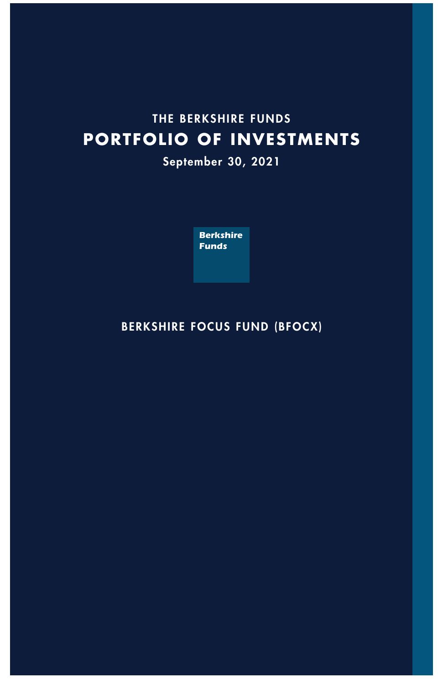# **THE BERKSHIRE FUNDS PORTFOLIO OF INVESTMENTS**

**September 30, 2021**



## **BERKSHIRE FOCUS FUND (BFOCX)**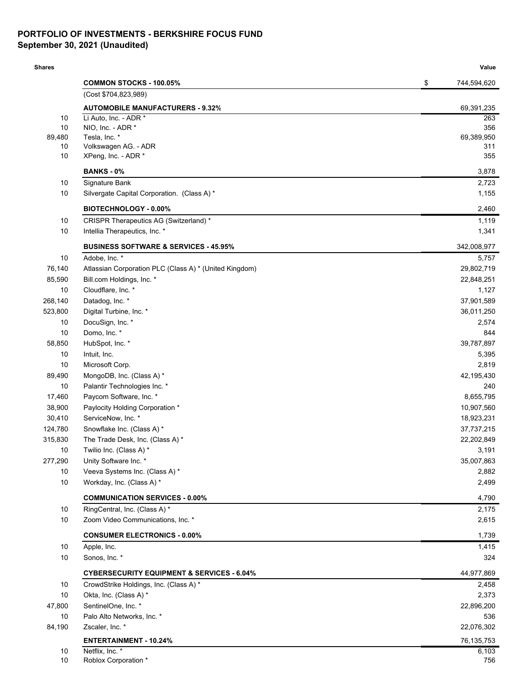### **PORTFOLIO OF INVESTMENTS - BERKSHIRE FOCUS FUND September 30, 2021 (Unaudited)**

| <b>Shares</b> |                                                        | Value             |
|---------------|--------------------------------------------------------|-------------------|
|               | <b>COMMON STOCKS - 100.05%</b>                         | \$<br>744,594,620 |
|               | (Cost \$704,823,989)                                   |                   |
|               | <b>AUTOMOBILE MANUFACTURERS - 9.32%</b>                | 69,391,235        |
| 10            | Li Auto, Inc. - ADR *                                  | 263               |
| 10            | NIO, Inc. - ADR *                                      | 356               |
| 89,480<br>10  | Tesla, Inc. *<br>Volkswagen AG. - ADR                  | 69,389,950<br>311 |
| 10            | XPeng, Inc. - ADR *                                    | 355               |
|               | <b>BANKS - 0%</b>                                      | 3,878             |
| 10            | Signature Bank                                         | 2,723             |
| 10            | Silvergate Capital Corporation. (Class A) *            | 1,155             |
|               | <b>BIOTECHNOLOGY - 0.00%</b>                           | 2,460             |
| 10            | CRISPR Therapeutics AG (Switzerland) *                 | 1,119             |
| 10            | Intellia Therapeutics, Inc. *                          | 1,341             |
|               | <b>BUSINESS SOFTWARE &amp; SERVICES - 45.95%</b>       | 342,008,977       |
| 10            | Adobe, Inc. *                                          | 5,757             |
| 76,140        | Atlassian Corporation PLC (Class A) * (United Kingdom) | 29,802,719        |
| 85,590        | Bill.com Holdings, Inc. *                              | 22,848,251        |
| 10            | Cloudflare, Inc. *                                     | 1,127             |
| 268,140       | Datadog, Inc. *                                        | 37,901,589        |
| 523,800       | Digital Turbine, Inc. *                                | 36,011,250        |
| 10            | DocuSign, Inc. *                                       | 2,574             |
| 10            | Domo, Inc. *                                           | 844               |
| 58,850        | HubSpot, Inc. *                                        | 39,787,897        |
| 10            | Intuit, Inc.                                           | 5,395             |
| 10            | Microsoft Corp.                                        | 2,819             |
| 89,490        | MongoDB, Inc. (Class A) *                              | 42,195,430        |
| 10            | Palantir Technologies Inc. *                           | 240               |
| 17,460        | Paycom Software, Inc. *                                | 8,655,795         |
| 38,900        | Paylocity Holding Corporation *                        | 10,907,560        |
| 30,410        | ServiceNow, Inc. *                                     | 18,923,231        |
| 124,780       | Snowflake Inc. (Class A) *                             | 37,737,215        |
| 315,830       | The Trade Desk, Inc. (Class A) *                       | 22,202,849        |
| 10            | Twilio Inc. (Class A) *                                | 3,191             |
| 277,290       | Unity Software Inc. *                                  | 35,007,863        |
| 10            | Veeva Systems Inc. (Class A) *                         | 2,882             |
| 10            | Workday, Inc. (Class A) *                              | 2,499             |
|               | <b>COMMUNICATION SERVICES - 0.00%</b>                  | 4,790             |
| 10            | RingCentral, Inc. (Class A) *                          | 2,175             |
| 10            | Zoom Video Communications, Inc. *                      | 2,615             |
|               | <b>CONSUMER ELECTRONICS - 0.00%</b>                    | 1,739             |
| 10            | Apple, Inc.                                            | 1,415             |
| 10            | Sonos, Inc. *                                          | 324               |
|               | <b>CYBERSECURITY EQUIPMENT &amp; SERVICES - 6.04%</b>  | 44,977,869        |
| 10            | CrowdStrike Holdings, Inc. (Class A) *                 | 2,458             |
| 10            | Okta, Inc. (Class A) *                                 | 2,373             |
| 47,800        | SentinelOne, Inc. *                                    | 22,896,200        |
| 10            | Palo Alto Networks, Inc. *                             | 536               |
| 84,190        | Zscaler, Inc. *                                        | 22,076,302        |
|               | <b>ENTERTAINMENT - 10.24%</b>                          | 76,135,753        |
| 10            | Netflix, Inc. *                                        | 6,103             |
| $10\,$        | Roblox Corporation *                                   | 756               |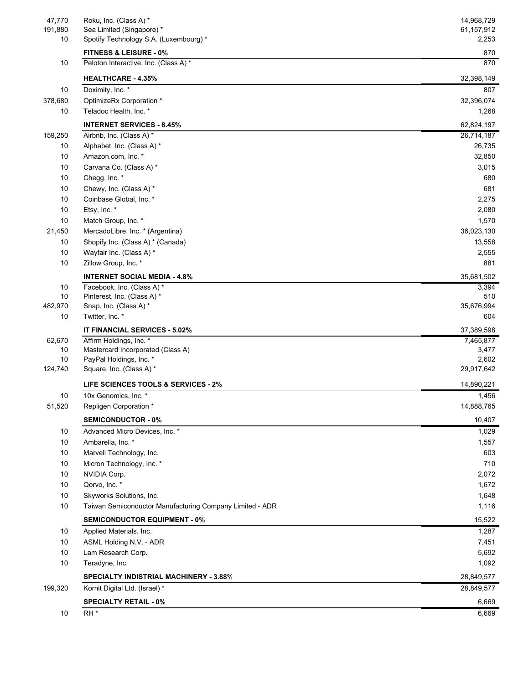| 47,770  | Roku, Inc. (Class A) *                                   | 14,968,729                        |
|---------|----------------------------------------------------------|-----------------------------------|
| 191,880 | Sea Limited (Singapore) *                                | 61,157,912                        |
| 10      | Spotify Technology S.A. (Luxembourg) *                   | 2,253                             |
|         | <b>FITNESS &amp; LEISURE - 0%</b>                        | 870                               |
| 10      | Peloton Interactive, Inc. (Class A) *                    | 870                               |
|         | <b>HEALTHCARE - 4.35%</b>                                | 32,398,149                        |
| 10      | Doximity, Inc. *                                         | 807                               |
| 378,680 | OptimizeRx Corporation *                                 | 32,396,074                        |
| 10      | Teladoc Health, Inc. *                                   | 1,268                             |
|         | <b>INTERNET SERVICES - 8.45%</b>                         | 62,824,197                        |
| 159,250 | Airbnb, Inc. (Class A) *                                 | 26,714,187                        |
| 10      | Alphabet, Inc. (Class A) *                               | 26,735                            |
| 10      | Amazon.com, Inc. *                                       | 32,850                            |
| 10      | Carvana Co. (Class A) *                                  | 3,015                             |
| 10      | Chegg, Inc. *                                            | 680                               |
| 10      | Chewy, Inc. (Class A) *                                  | 681                               |
| 10      | Coinbase Global, Inc. *                                  | 2,275                             |
| 10      | Etsy, Inc. *                                             | 2,080                             |
| 10      | Match Group, Inc. *                                      | 1,570                             |
| 21,450  | MercadoLibre, Inc. * (Argentina)                         | 36,023,130                        |
| 10      | Shopify Inc. (Class A) * (Canada)                        | 13,558                            |
| 10      | Wayfair Inc. (Class A) *                                 | 2,555                             |
| 10      | Zillow Group, Inc. *                                     | 881                               |
|         | <b>INTERNET SOCIAL MEDIA - 4.8%</b>                      | 35,681,502                        |
| 10      | Facebook, Inc. (Class A) *                               | 3,394                             |
| 10      | Pinterest, Inc. (Class A) *                              | 510                               |
| 482,970 | Snap, Inc. (Class A) *                                   | 35,676,994                        |
| 10      | Twitter, Inc. *                                          | 604                               |
|         | IT FINANCIAL SERVICES - 5.02%                            | 37,389,598                        |
| 62,670  | Affirm Holdings, Inc. *                                  | 7,465,877                         |
| 10      | Mastercard Incorporated (Class A)                        | 3,477                             |
| 10      | PayPal Holdings, Inc. *                                  | 2,602                             |
| 124,740 | Square, Inc. (Class A) *                                 | 29,917,642                        |
|         | LIFE SCIENCES TOOLS & SERVICES - 2%                      | 14,890,221                        |
| 10      | 10x Genomics, Inc. *                                     | 1,456                             |
| 51,520  | Repligen Corporation *                                   | 14,888,765                        |
|         | <b>SEMICONDUCTOR - 0%</b>                                | 10,407                            |
| 10      | Advanced Micro Devices, Inc. *                           | 1,029                             |
| 10      | Ambarella, Inc. *                                        | 1,557                             |
| 10      | Marvell Technology, Inc.                                 | 603                               |
| 10      | Micron Technology, Inc. *                                | 710                               |
| 10      | NVIDIA Corp.                                             | 2,072                             |
| 10      | Qorvo, Inc. *                                            | 1,672                             |
| 10      | Skyworks Solutions, Inc.                                 | 1,648                             |
| 10      | Taiwan Semiconductor Manufacturing Company Limited - ADR | 1,116                             |
|         | <b>SEMICONDUCTOR EQUIPMENT - 0%</b>                      | 15,522                            |
| 10      | Applied Materials, Inc.                                  | 1,287                             |
| 10      | ASML Holding N.V. - ADR                                  | 7,451                             |
| 10      | Lam Research Corp.                                       | 5,692                             |
| 10      | Teradyne, Inc.                                           | 1,092                             |
|         |                                                          |                                   |
|         | <b>SPECIALTY INDISTRIAL MACHINERY - 3.88%</b>            |                                   |
|         | Kornit Digital Ltd. (Israel) *                           |                                   |
| 199,320 | <b>SPECIALTY RETAIL - 0%</b>                             | 28,849,577<br>28,849,577<br>6,669 |